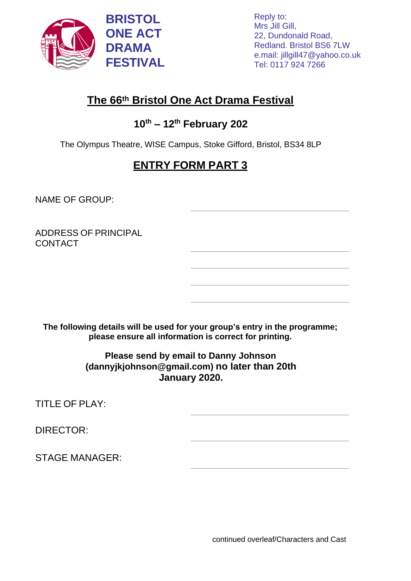

Reply to: Mrs Jill Gill, 22, Dundonald Road, Redland. Bristol BS6 7LW e.mail: [jillgill47@yahoo.co.uk](mailto:jillgill47@yahoo.co.uk) Tel: 0117 924 7266

## **The 66th Bristol One Act Drama Festival**

## **10 th – 12th February 202**

The Olympus Theatre, WISE Campus, Stoke Gifford, Bristol, BS34 8LP

## **ENTRY FORM PART 3**

NAME OF GROUP:

ADDRESS OF PRINCIPAL **CONTACT** 

**The following details will be used for your group's entry in the programme; please ensure all information is correct for printing.**

> **Please send by email to Danny Johnson (dannyjkjohnson@gmail.com) no later than 20th January 2020.**

TITLE OF PLAY:

DIRECTOR:

STAGE MANAGER:

continued overleaf/Characters and Cast